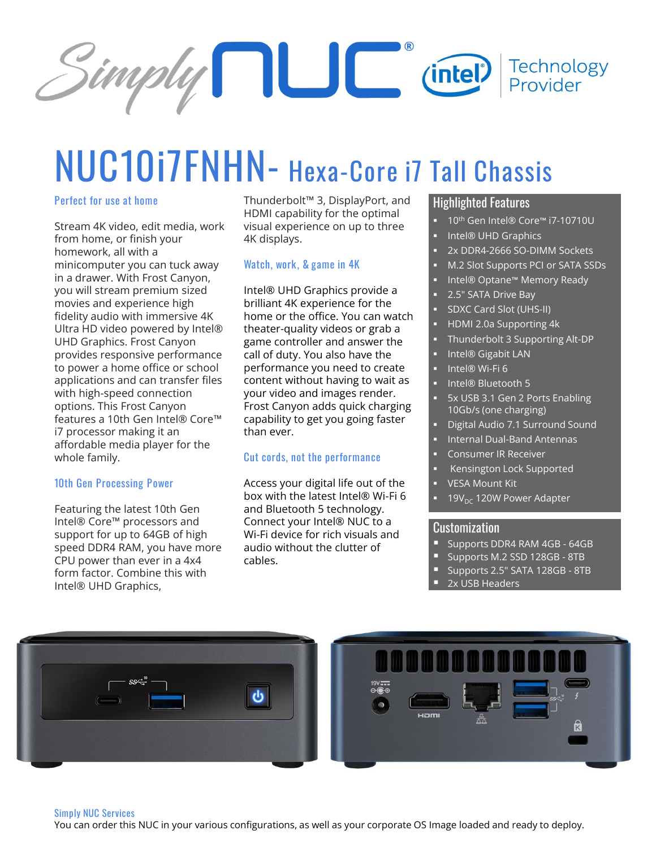

# **NUC10i7FNHN- Hexa-Core i7 Tall Chassis**

#### **Perfect for use at home**

Stream 4K video, edit media, work from home, or finish your homework, all with a minicomputer you can tuck away in a drawer. With Frost Canyon, you will stream premium sized movies and experience high fidelity audio with immersive 4K Ultra HD video powered by Intel® UHD Graphics. Frost Canyon provides responsive performance to power a home office or school applications and can transfer files with high-speed connection options. This Frost Canyon features a 10th Gen Intel® Core™ i7 processor making it an affordable media player for the whole family.

#### **10th Gen Processing Power**

Featuring the latest 10th Gen Intel® Core™ processors and support for up to 64GB of high speed DDR4 RAM, you have more CPU power than ever in a 4x4 form factor. Combine this with Intel® UHD Graphics,

Thunderbolt™ 3, DisplayPort, and HDMI capability for the optimal visual experience on up to three 4K displays.

#### **Watch, work, & game in 4K**

Intel® UHD Graphics provide a brilliant 4K experience for the home or the office. You can watch theater-quality videos or grab a game controller and answer the call of duty. You also have the performance you need to create content without having to wait as your video and images render. Frost Canyon adds quick charging capability to get you going faster than ever.

#### **Cut cords, not the performance**

Access your digital life out of the box with the latest Intel® Wi-Fi 6 and Bluetooth 5 technology. Connect your Intel® NUC to a Wi-Fi device for rich visuals and audio without the clutter of cables.

### Highlighted Features

- 10<sup>th</sup> Gen Intel® Core™ i7-10710U
- Intel® UHD Graphics
- 2x DDR4-2666 SO-DIMM Sockets
- M.2 Slot Supports PCI or SATA SSDs
- Intel® Optane™ Memory Ready
- 2.5" SATA Drive Bay
- SDXC Card Slot (UHS-II)
- HDMI 2.0a Supporting 4k
- Thunderbolt 3 Supporting Alt-DP
- Intel® Gigabit LAN
- Intel® Wi-Fi 6
- Intel® Bluetooth 5
- **EX USB 3.1 Gen 2 Ports Enabling** 10Gb/s (one charging)
- Digital Audio 7.1 Surround Sound
- **Internal Dual-Band Antennas**
- Consumer IR Receiver
- Kensington Lock Supported
- **VESA Mount Kit**
- $19V<sub>DC</sub>$  120W Power Adapter

#### Customization

- **E** Supports DDR4 RAM 4GB 64GB
- Supports M.2 SSD 128GB 8TB
- Supports 2.5" SATA 128GB 8TB
- 2x USB Headers





#### **Simply NUC Services**

You can order this NUC in your various configurations, as well as your corporate OS Image loaded and ready to deploy.